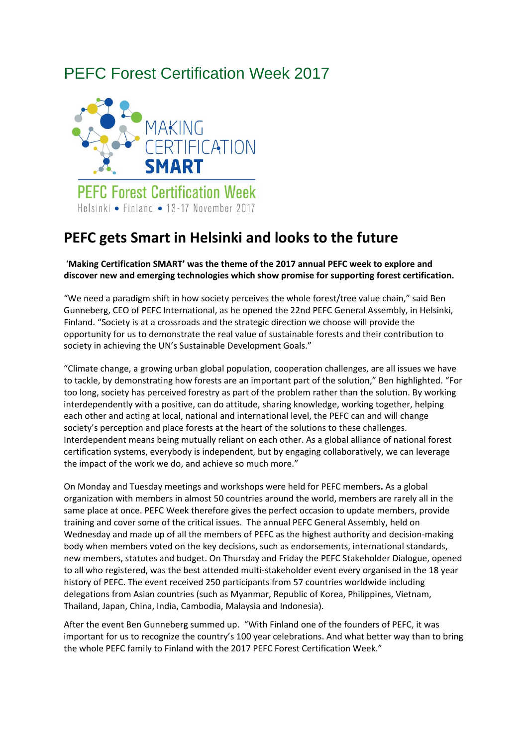## PEFC Forest Certification Week 2017



## **PEFC gets Smart in Helsinki and looks to the future**

## '**Making Certification SMART' was the theme of the 2017 annual PEFC week to explore and discover new and emerging technologies which show promise for supporting forest certification.**

"We need a paradigm shift in how society perceives the whole forest/tree value chain," said Ben Gunneberg, CEO of PEFC International, as he opened the 22nd PEFC General Assembly, in Helsinki, Finland. "Society is at a crossroads and the strategic direction we choose will provide the opportunity for us to demonstrate the real value of sustainable forests and their contribution to society in achieving the UN's Sustainable Development Goals."

"Climate change, a growing urban global population, cooperation challenges, are all issues we have to tackle, by demonstrating how forests are an important part of the solution," Ben highlighted. "For too long, society has perceived forestry as part of the problem rather than the solution. By working interdependently with a positive, can do attitude, sharing knowledge, working together, helping each other and acting at local, national and international level, the PEFC can and will change society's perception and place forests at the heart of the solutions to these challenges. Interdependent means being mutually reliant on each other. As a global alliance of national forest certification systems, everybody is independent, but by engaging collaboratively, we can leverage the impact of the work we do, and achieve so much more."

On Monday and Tuesday meetings and workshops were held for PEFC members**.** As a global organization with members in almost 50 countries around the world, members are rarely all in the same place at once. PEFC Week therefore gives the perfect occasion to update members, provide training and cover some of the critical issues. The annual PEFC General Assembly, held on Wednesday and made up of all the members of PEFC as the highest authority and decision‐making body when members voted on the key decisions, such as endorsements, international standards, new members, statutes and budget. On Thursday and Friday the PEFC Stakeholder Dialogue, opened to all who registered, was the best attended multi-stakeholder event every organised in the 18 year history of PEFC. The event received 250 participants from 57 countries worldwide including delegations from Asian countries (such as Myanmar, Republic of Korea, Philippines, Vietnam, Thailand, Japan, China, India, Cambodia, Malaysia and Indonesia).

After the event Ben Gunneberg summed up. "With Finland one of the founders of PEFC, it was important for us to recognize the country's 100 year celebrations. And what better way than to bring the whole PEFC family to Finland with the 2017 PEFC Forest Certification Week."